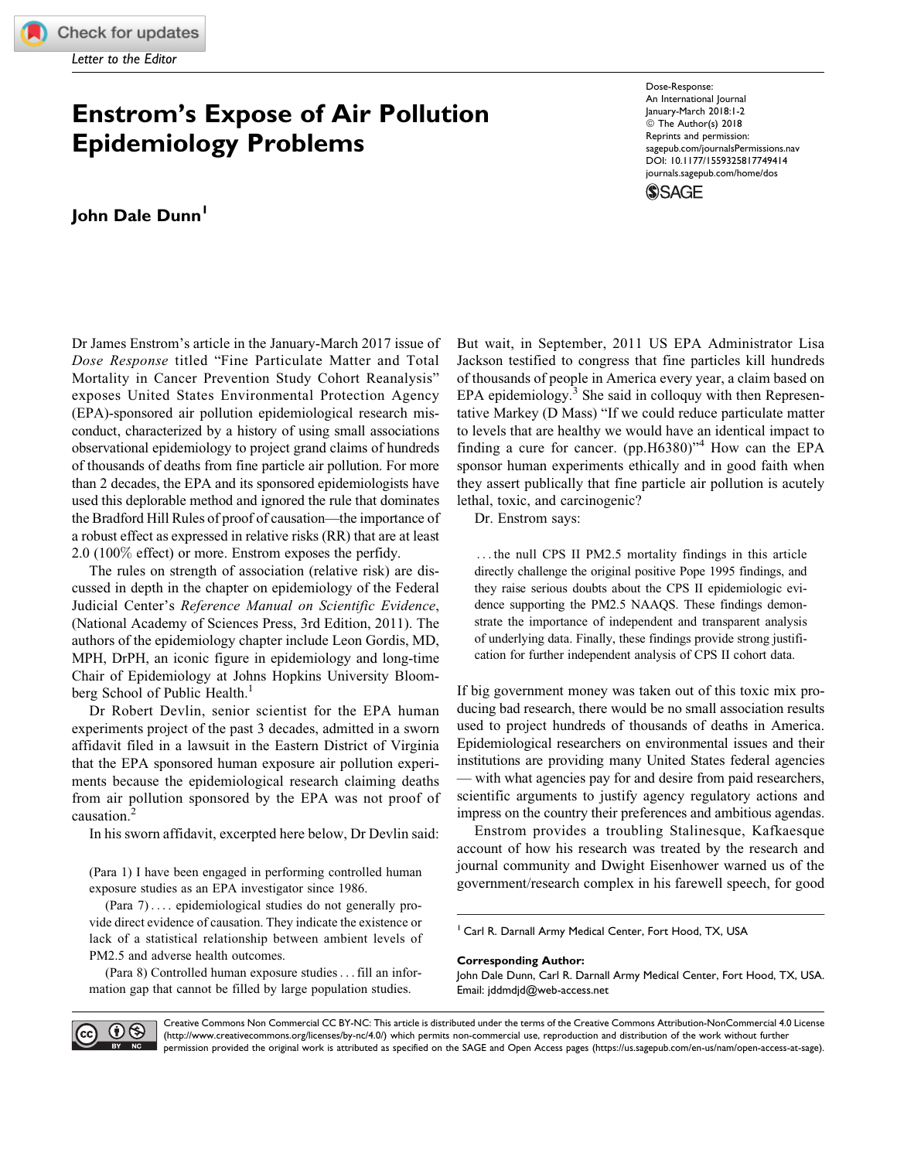## Enstrom's Expose of Air Pollution Epidemiology Problems

## John Dale Dunn<sup>1</sup>

Dr James Enstrom's article in the January-March 2017 issue of Dose Response titled "Fine Particulate Matter and Total Mortality in Cancer Prevention Study Cohort Reanalysis" exposes United States Environmental Protection Agency (EPA)-sponsored air pollution epidemiological research misconduct, characterized by a history of using small associations observational epidemiology to project grand claims of hundreds of thousands of deaths from fine particle air pollution. For more than 2 decades, the EPA and its sponsored epidemiologists have used this deplorable method and ignored the rule that dominates the Bradford Hill Rules of proof of causation—the importance of a robust effect as expressed in relative risks (RR) that are at least 2.0 (100% effect) or more. Enstrom exposes the perfidy.

The rules on strength of association (relative risk) are discussed in depth in the chapter on epidemiology of the Federal Judicial Center's Reference Manual on Scientific Evidence, (National Academy of Sciences Press, 3rd Edition, 2011). The authors of the epidemiology chapter include Leon Gordis, MD, MPH, DrPH, an iconic figure in epidemiology and long-time Chair of Epidemiology at Johns Hopkins University Bloomberg School of Public Health.<sup>1</sup>

Dr Robert Devlin, senior scientist for the EPA human experiments project of the past 3 decades, admitted in a sworn affidavit filed in a lawsuit in the Eastern District of Virginia that the EPA sponsored human exposure air pollution experiments because the epidemiological research claiming deaths from air pollution sponsored by the EPA was not proof of causation.<sup>2</sup>

In his sworn affidavit, excerpted here below, Dr Devlin said:

(Para 1) I have been engaged in performing controlled human exposure studies as an EPA investigator since 1986.

(Para 7) ... . epidemiological studies do not generally provide direct evidence of causation. They indicate the existence or lack of a statistical relationship between ambient levels of PM2.5 and adverse health outcomes.

(Para 8) Controlled human exposure studies...fill an information gap that cannot be filled by large population studies.

Reprints and permission: [sagepub.com/journalsPermissions.nav](https://us.sagepub.com/en-us/journals-permissions) [DOI: 10.1177/1559325817749414](https://doi.org/10.1177/1559325817749414) [journals.sagepub.com/home/dos](http://journals.sagepub.com/home/dos) **SSAGE** 

Dose-Response: An International Journal January-March 2018:1-2 © The Author(s) 2018

But wait, in September, 2011 US EPA Administrator Lisa Jackson testified to congress that fine particles kill hundreds of thousands of people in America every year, a claim based on EPA epidemiology. $3$  She said in colloquy with then Representative Markey (D Mass) "If we could reduce particulate matter to levels that are healthy we would have an identical impact to finding a cure for cancer. (pp.H6380)"<sup>4</sup> How can the EPA sponsor human experiments ethically and in good faith when they assert publically that fine particle air pollution is acutely lethal, toxic, and carcinogenic?

Dr. Enstrom says:

... the null CPS II PM2.5 mortality findings in this article directly challenge the original positive Pope 1995 findings, and they raise serious doubts about the CPS II epidemiologic evidence supporting the PM2.5 NAAQS. These findings demonstrate the importance of independent and transparent analysis of underlying data. Finally, these findings provide strong justification for further independent analysis of CPS II cohort data.

If big government money was taken out of this toxic mix producing bad research, there would be no small association results used to project hundreds of thousands of deaths in America. Epidemiological researchers on environmental issues and their institutions are providing many United States federal agencies — with what agencies pay for and desire from paid researchers, scientific arguments to justify agency regulatory actions and impress on the country their preferences and ambitious agendas.

Enstrom provides a troubling Stalinesque, Kafkaesque account of how his research was treated by the research and journal community and Dwight Eisenhower warned us of the government/research complex in his farewell speech, for good

<sup>1</sup> Carl R. Darnall Army Medical Center, Fort Hood, TX, USA

## Corresponding Author:

John Dale Dunn, Carl R. Darnall Army Medical Center, Fort Hood, TX, USA. Email: [jddmdjd@web-access.net](mailto:jddmdjd@web-access.net)



Creative Commons Non Commercial CC BY-NC: This article is distributed under the terms of the Creative Commons Attribution-NonCommercial 4.0 License (http://www.creativecommons.org/licenses/by-nc/4.0/) which permits non-commercial use, reproduction and distribution of the work without further permission provided the original work is attributed as specified on the SAGE and Open Access pages (https://us.sagepub.com/en-us/nam/open-access-at-sage).